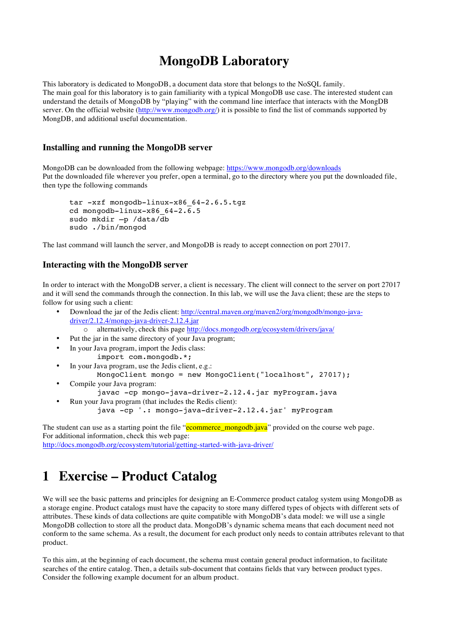## **MongoDB Laboratory**

This laboratory is dedicated to MongoDB, a document data store that belongs to the NoSQL family. The main goal for this laboratory is to gain familiarity with a typical MongoDB use case. The interested student can understand the details of MongoDB by "playing" with the command line interface that interacts with the MongDB server. On the official website (http://www.mongodb.org/) it is possible to find the list of commands supported by MongDB, and additional useful documentation.

#### **Installing and running the MongoDB server**

MongoDB can be downloaded from the following webpage: https://www.mongodb.org/downloads Put the downloaded file wherever you prefer, open a terminal, go to the directory where you put the downloaded file, then type the following commands

```
tar -xzf mongodb-linux-x86_64-2.6.5.tgz
cd mongodb-linux-x86 64-2.\overline{6}.5sudo mkdir –p /data/db
sudo ./bin/mongod
```
The last command will launch the server, and MongoDB is ready to accept connection on port 27017.

#### **Interacting with the MongoDB server**

In order to interact with the MongoDB server, a client is necessary. The client will connect to the server on port 27017 and it will send the commands through the connection. In this lab, we will use the Java client; these are the steps to follow for using such a client:

- Download the jar of the Jedis client: http://central.maven.org/maven2/org/mongodb/mongo-javadriver/2.12.4/mongo-java-driver-2.12.4.jar
- alternatively, check this page http://docs.mongodb.org/ecosystem/drivers/java/
- Put the jar in the same directory of your Java program;
- In your Java program, import the Jedis class:
	- import com.mongodb.\*;
- In your Java program, use the Jedis client, e.g.: MongoClient mongo = new MongoClient("localhost", 27017);
- Compile your Java program: javac -cp mongo-java-driver-2.12.4.jar myProgram.java
- Run your Java program (that includes the Redis client): java -cp '.: mongo-java-driver-2.12.4.jar' myProgram

The student can use as a starting point the file "ecommerce\_mongodb.java" provided on the course web page. For additional information, check this web page: http://docs.mongodb.org/ecosystem/tutorial/getting-started-with-java-driver/

# **1 Exercise – Product Catalog**

We will see the basic patterns and principles for designing an E-Commerce product catalog system using MongoDB as a storage engine. Product catalogs must have the capacity to store many differed types of objects with different sets of attributes. These kinds of data collections are quite compatible with MongoDB's data model: we will use a single MongoDB collection to store all the product data. MongoDB's dynamic schema means that each document need not conform to the same schema. As a result, the document for each product only needs to contain attributes relevant to that product.

To this aim, at the beginning of each document, the schema must contain general product information, to facilitate searches of the entire catalog. Then, a details sub-document that contains fields that vary between product types. Consider the following example document for an album product.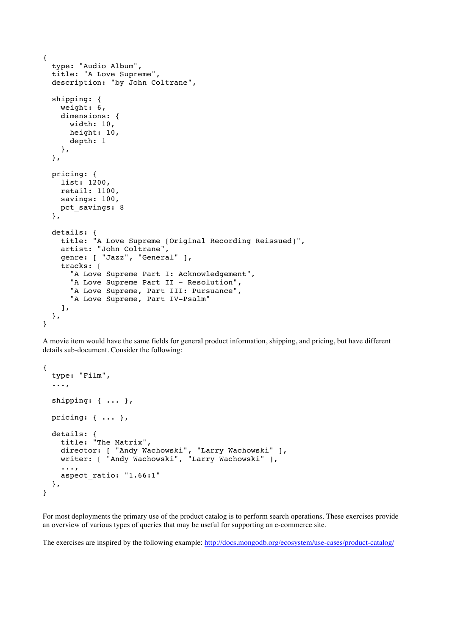```
{
   type: "Audio Album",
   title: "A Love Supreme",
   description: "by John Coltrane",
  shipping: {
     weight: 6,
     dimensions: {
       width: 10,
       height: 10,
       depth: 1
     },
   },
   pricing: {
     list: 1200,
     retail: 1100,
     savings: 100,
    pct savings: 8
   },
   details: {
     title: "A Love Supreme [Original Recording Reissued]",
     artist: "John Coltrane",
     genre: [ "Jazz", "General" ],
     tracks: [
       "A Love Supreme Part I: Acknowledgement",
      "A Love Supreme Part II - Resolution",
       "A Love Supreme, Part III: Pursuance",
       "A Love Supreme, Part IV-Psalm"
     ],
   },
}
```
A movie item would have the same fields for general product information, shipping, and pricing, but have different details sub-document. Consider the following:

```
{
   type: "Film",
   ...,
   shipping: { ... },
   pricing: { ... },
   details: {
     title: "The Matrix",
    director: [ "Andy Wachowski", "Larry Wachowski" ],
     writer: [ "Andy Wachowski", "Larry Wachowski" ],
     ...,
    aspect ratio: "1.66:1"
  },
}
```
For most deployments the primary use of the product catalog is to perform search operations. These exercises provide an overview of various types of queries that may be useful for supporting an e-commerce site.

The exercises are inspired by the following example: http://docs.mongodb.org/ecosystem/use-cases/product-catalog/